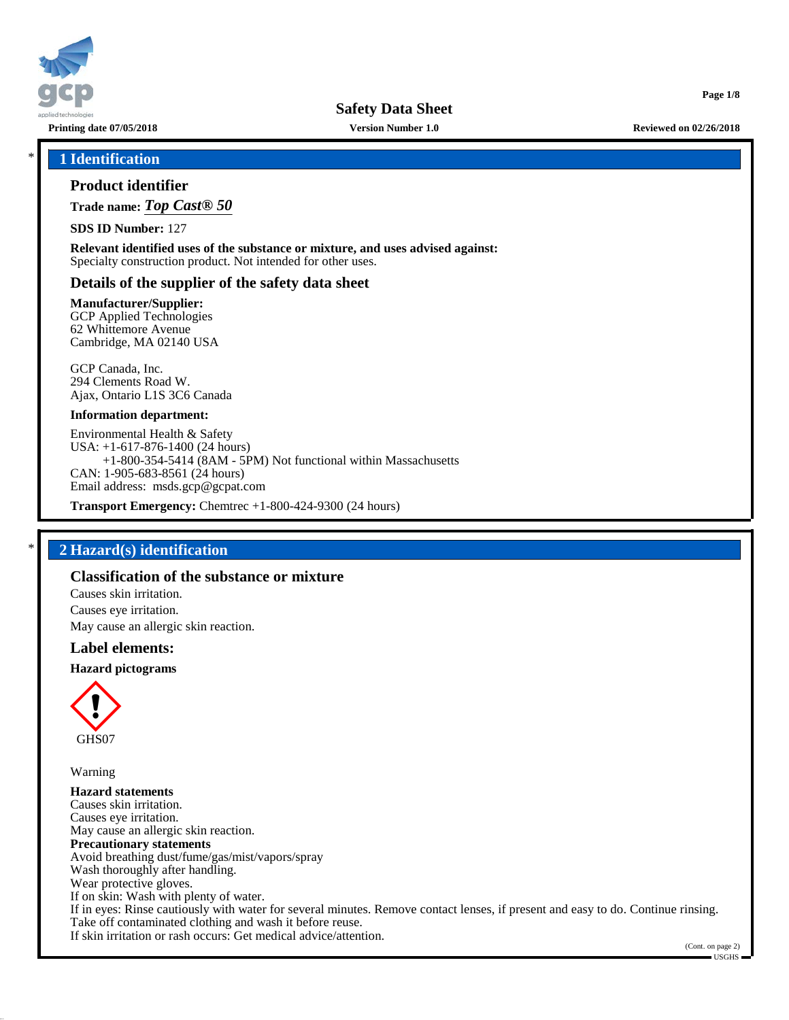

**Printing date 07/05/2018 Version Number 1.0 Reviewed on 02/26/2018**

**Page 1/8**

## \* **1 Identification**

#### **Product identifier**

**Trade name:** *Top Cast® 50*

**SDS ID Number:** 127

**Relevant identified uses of the substance or mixture, and uses advised against:** Specialty construction product. Not intended for other uses.

#### **Details of the supplier of the safety data sheet**

#### **Manufacturer/Supplier:**

GCP Applied Technologies 62 Whittemore Avenue Cambridge, MA 02140 USA

GCP Canada, Inc. 294 Clements Road W. Ajax, Ontario L1S 3C6 Canada

#### **Information department:**

Environmental Health & Safety USA: +1-617-876-1400 (24 hours) +1-800-354-5414 (8AM - 5PM) Not functional within Massachusetts CAN: 1-905-683-8561 (24 hours) Email address: msds.gcp@gcpat.com

**Transport Emergency:** Chemtrec +1-800-424-9300 (24 hours)

## \* **2 Hazard(s) identification**

# **Classification of the substance or mixture**

Causes skin irritation. Causes eye irritation. May cause an allergic skin reaction.

#### **Label elements:**

#### **Hazard pictograms**



Warning

**Hazard statements** Causes skin irritation. Causes eye irritation. May cause an allergic skin reaction. **Precautionary statements** Avoid breathing dust/fume/gas/mist/vapors/spray Wash thoroughly after handling. Wear protective gloves. If on skin: Wash with plenty of water. If in eyes: Rinse cautiously with water for several minutes. Remove contact lenses, if present and easy to do. Continue rinsing. Take off contaminated clothing and wash it before reuse. If skin irritation or rash occurs: Get medical advice/attention.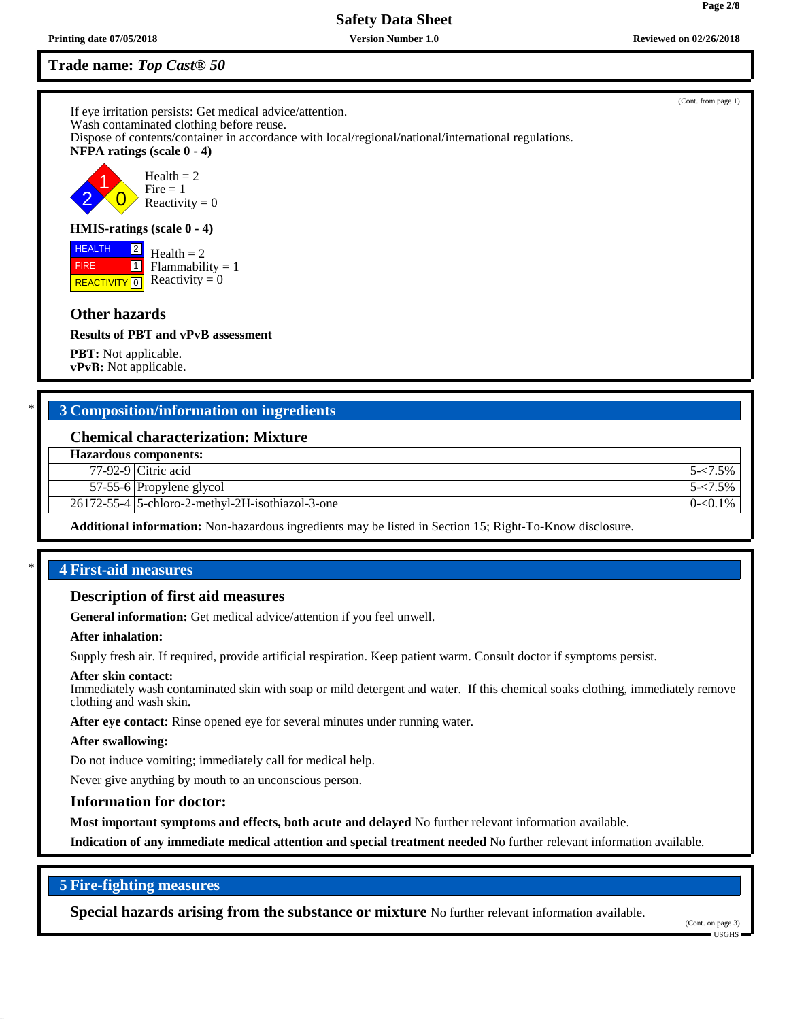# **Trade name:** *Top Cast® 50*

If eye irritation persists: Get medical advice/attention. Wash contaminated clothing before reuse. Dispose of contents/container in accordance with local/regional/national/international regulations. **NFPA ratings (scale 0 - 4)** 2 1  $\overline{0}$  $Health = 2$  $Fire = 1$ Reactivity  $= 0$ 

## **HMIS-ratings (scale 0 - 4)**

**REACTIVITY** 0 2  $\Box$  $Health = 2$  $Flammability = 1$ Reactivity  $= 0$ 

# **Other hazards**

 HEALTH FIRE

**Results of PBT and vPvB assessment**

**PBT:** Not applicable. **vPvB:** Not applicable.

# \* **3 Composition/information on ingredients**

# **Chemical characterization: Mixture**

| <b>Hazardous components:</b> |  |
|------------------------------|--|
|------------------------------|--|

77-92-9 Citric acid 5-<7.5%

57-55-6 Propylene glycol 5-<7.5%

26172-55-4 5-chloro-2-methyl-2H-isothiazol-3-one 0-chloro-2-methyl-2H-isothiazol-3-one 0-chloro-2-methyl-2H-isothiazol-3-one

**Additional information:** Non-hazardous ingredients may be listed in Section 15; Right-To-Know disclosure.

# \* **4 First-aid measures**

## **Description of first aid measures**

**General information:** Get medical advice/attention if you feel unwell.

#### **After inhalation:**

Supply fresh air. If required, provide artificial respiration. Keep patient warm. Consult doctor if symptoms persist.

#### **After skin contact:**

Immediately wash contaminated skin with soap or mild detergent and water. If this chemical soaks clothing, immediately remove clothing and wash skin.

**After eye contact:** Rinse opened eye for several minutes under running water.

#### **After swallowing:**

Do not induce vomiting; immediately call for medical help.

Never give anything by mouth to an unconscious person.

#### **Information for doctor:**

**Most important symptoms and effects, both acute and delayed** No further relevant information available.

**Indication of any immediate medical attention and special treatment needed** No further relevant information available.

# **5 Fire-fighting measures**

**Special hazards arising from the substance or mixture** No further relevant information available.

(Cont. from page 1)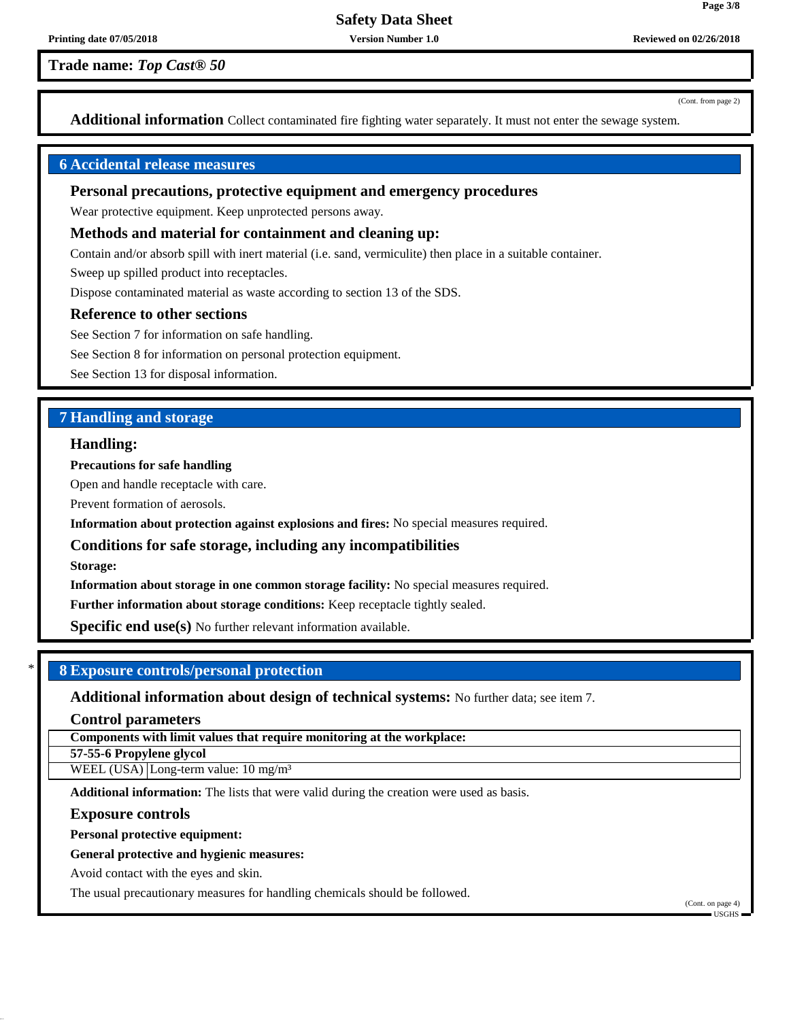**Trade name:** *Top Cast® 50*

(Cont. from page 2)

**Page 3/8**

**Additional information** Collect contaminated fire fighting water separately. It must not enter the sewage system.

# **6 Accidental release measures**

## **Personal precautions, protective equipment and emergency procedures**

Wear protective equipment. Keep unprotected persons away.

#### **Methods and material for containment and cleaning up:**

Contain and/or absorb spill with inert material (i.e. sand, vermiculite) then place in a suitable container.

Sweep up spilled product into receptacles.

Dispose contaminated material as waste according to section 13 of the SDS.

#### **Reference to other sections**

See Section 7 for information on safe handling.

See Section 8 for information on personal protection equipment.

See Section 13 for disposal information.

# **7 Handling and storage**

#### **Handling:**

**Precautions for safe handling**

Open and handle receptacle with care.

Prevent formation of aerosols.

**Information about protection against explosions and fires:** No special measures required.

**Conditions for safe storage, including any incompatibilities**

**Storage:**

**Information about storage in one common storage facility:** No special measures required.

**Further information about storage conditions:** Keep receptacle tightly sealed.

**Specific end use(s)** No further relevant information available.

## \* **8 Exposure controls/personal protection**

**Additional information about design of technical systems:** No further data; see item 7.

**Control parameters**

**Components with limit values that require monitoring at the workplace:**

**57-55-6 Propylene glycol**

WEEL  $(USA)$  Long-term value: 10 mg/m<sup>3</sup>

**Additional information:** The lists that were valid during the creation were used as basis.

#### **Exposure controls**

**Personal protective equipment:**

#### **General protective and hygienic measures:**

Avoid contact with the eyes and skin.

The usual precautionary measures for handling chemicals should be followed.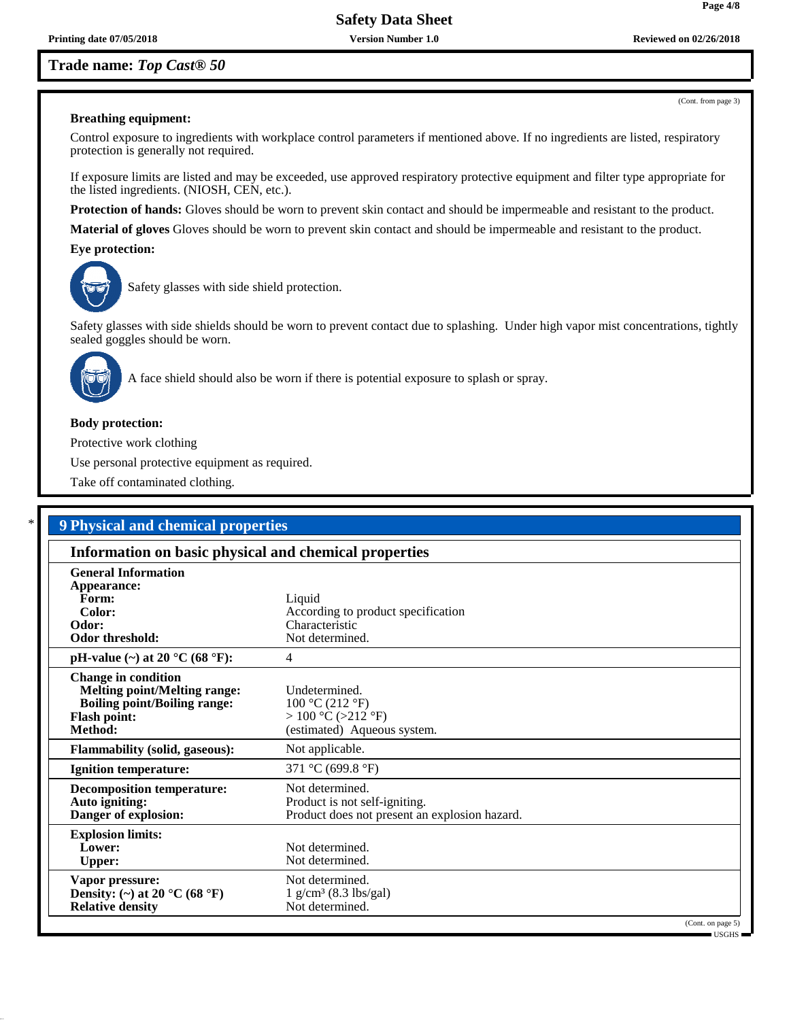(Cont. from page 3)

**Page 4/8**

#### **Breathing equipment:**

Control exposure to ingredients with workplace control parameters if mentioned above. If no ingredients are listed, respiratory protection is generally not required.

If exposure limits are listed and may be exceeded, use approved respiratory protective equipment and filter type appropriate for the listed ingredients. (NIOSH, CEN, etc.).

**Protection of hands:** Gloves should be worn to prevent skin contact and should be impermeable and resistant to the product.

**Material of gloves** Gloves should be worn to prevent skin contact and should be impermeable and resistant to the product.

**Eye protection:**



Safety glasses with side shield protection.

Safety glasses with side shields should be worn to prevent contact due to splashing. Under high vapor mist concentrations, tightly sealed goggles should be worn.



A face shield should also be worn if there is potential exposure to splash or spray.

#### **Body protection:**

Protective work clothing

Use personal protective equipment as required.

Take off contaminated clothing.

| <b>9 Physical and chemical properties</b>                                                                                                                                                        |                                                                                                   |  |  |  |  |
|--------------------------------------------------------------------------------------------------------------------------------------------------------------------------------------------------|---------------------------------------------------------------------------------------------------|--|--|--|--|
| Information on basic physical and chemical properties                                                                                                                                            |                                                                                                   |  |  |  |  |
| <b>General Information</b><br>Appearance:<br>Form:<br>Color:<br>Odor:<br>Odor threshold:                                                                                                         | Liquid<br>According to product specification<br>Characteristic<br>Not determined.                 |  |  |  |  |
| pH-value (~) at 20 $^{\circ}$ C (68 $^{\circ}$ F):<br><b>Change in condition</b><br><b>Melting point/Melting range:</b><br><b>Boiling point/Boiling range:</b><br><b>Flash point:</b><br>Method: | 4<br>Undetermined.<br>100 °C (212 °F)<br>$>100$ °C ( $>212$ °F)<br>(estimated) Aqueous system.    |  |  |  |  |
| <b>Flammability (solid, gaseous):</b><br><b>Ignition temperature:</b>                                                                                                                            | Not applicable.<br>371 °C (699.8 °F)                                                              |  |  |  |  |
| <b>Decomposition temperature:</b><br>Auto igniting:<br>Danger of explosion:                                                                                                                      | Not determined.<br>Product is not self-igniting.<br>Product does not present an explosion hazard. |  |  |  |  |
| <b>Explosion limits:</b><br>Lower:<br><b>Upper:</b>                                                                                                                                              | Not determined.<br>Not determined.                                                                |  |  |  |  |
| Vapor pressure:<br>Density: (~) at 20 °C (68 °F)<br><b>Relative density</b>                                                                                                                      | Not determined.<br>$1 \text{ g/cm}^3$ (8.3 lbs/gal)<br>Not determined.                            |  |  |  |  |
|                                                                                                                                                                                                  |                                                                                                   |  |  |  |  |

USGHS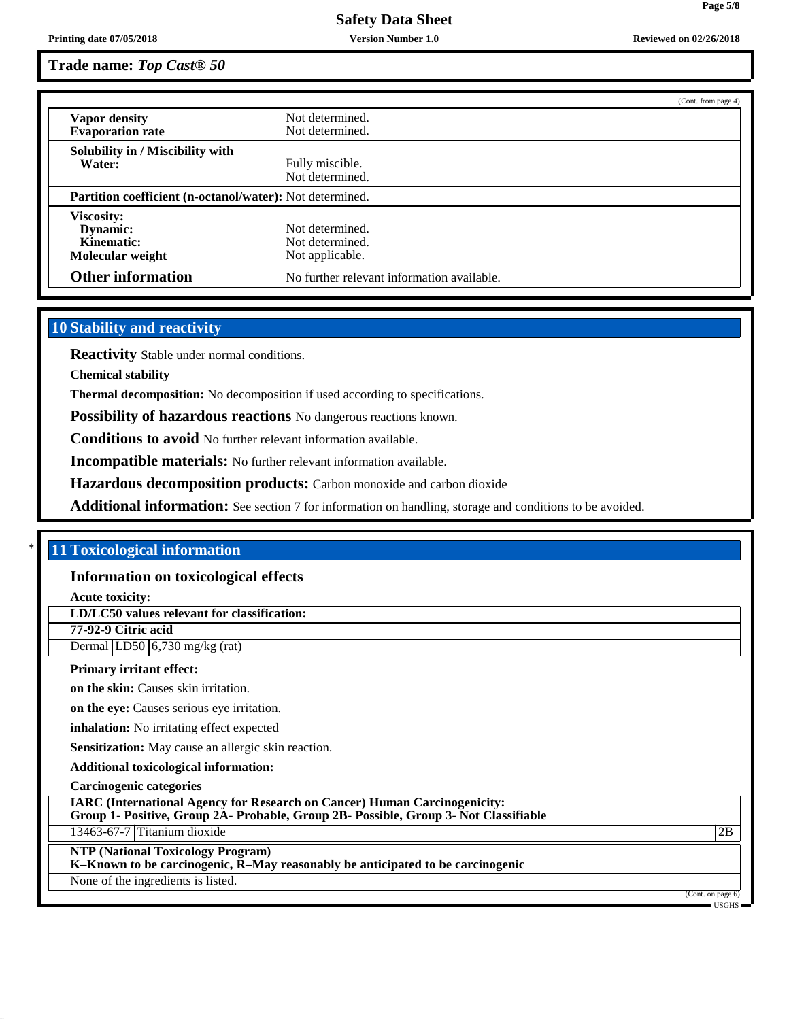# **Trade name:** *Top Cast® 50*

|                                                                 |                                            | (Cont. from page 4) |  |
|-----------------------------------------------------------------|--------------------------------------------|---------------------|--|
| Vapor density                                                   | Not determined.                            |                     |  |
| <b>Evaporation rate</b>                                         | Not determined.                            |                     |  |
| Solubility in / Miscibility with                                |                                            |                     |  |
| Water:                                                          | Fully miscible.                            |                     |  |
|                                                                 | Not determined.                            |                     |  |
| <b>Partition coefficient (n-octanol/water):</b> Not determined. |                                            |                     |  |
| <b>Viscosity:</b>                                               |                                            |                     |  |
| Dynamic:                                                        | Not determined.                            |                     |  |
| Kinematic:                                                      | Not determined.                            |                     |  |
| Molecular weight                                                | Not applicable.                            |                     |  |
| <b>Other information</b>                                        | No further relevant information available. |                     |  |

# **10 Stability and reactivity**

**Reactivity** Stable under normal conditions.

**Chemical stability**

**Thermal decomposition:** No decomposition if used according to specifications.

**Possibility of hazardous reactions** No dangerous reactions known.

**Conditions to avoid** No further relevant information available.

**Incompatible materials:** No further relevant information available.

**Hazardous decomposition products:** Carbon monoxide and carbon dioxide

**Additional information:** See section 7 for information on handling, storage and conditions to be avoided.

# \* **11 Toxicological information**

#### **Information on toxicological effects**

**Acute toxicity:**

**LD/LC50 values relevant for classification:**

**77-92-9 Citric acid** Dermal LD50 6,730 mg/kg (rat)

#### **Primary irritant effect:**

**on the skin:** Causes skin irritation.

**on the eye:** Causes serious eye irritation.

**inhalation:** No irritating effect expected

**Sensitization:** May cause an allergic skin reaction.

**Additional toxicological information:**

**Carcinogenic categories**

**IARC (International Agency for Research on Cancer) Human Carcinogenicity: Group 1- Positive, Group 2A- Probable, Group 2B- Possible, Group 3- Not Classifiable**

13463-67-7 Titanium dioxide 2B

## **NTP (National Toxicology Program)**

**K–Known to be carcinogenic, R–May reasonably be anticipated to be carcinogenic**

None of the ingredients is listed.

(Cont. on page 6) USGHS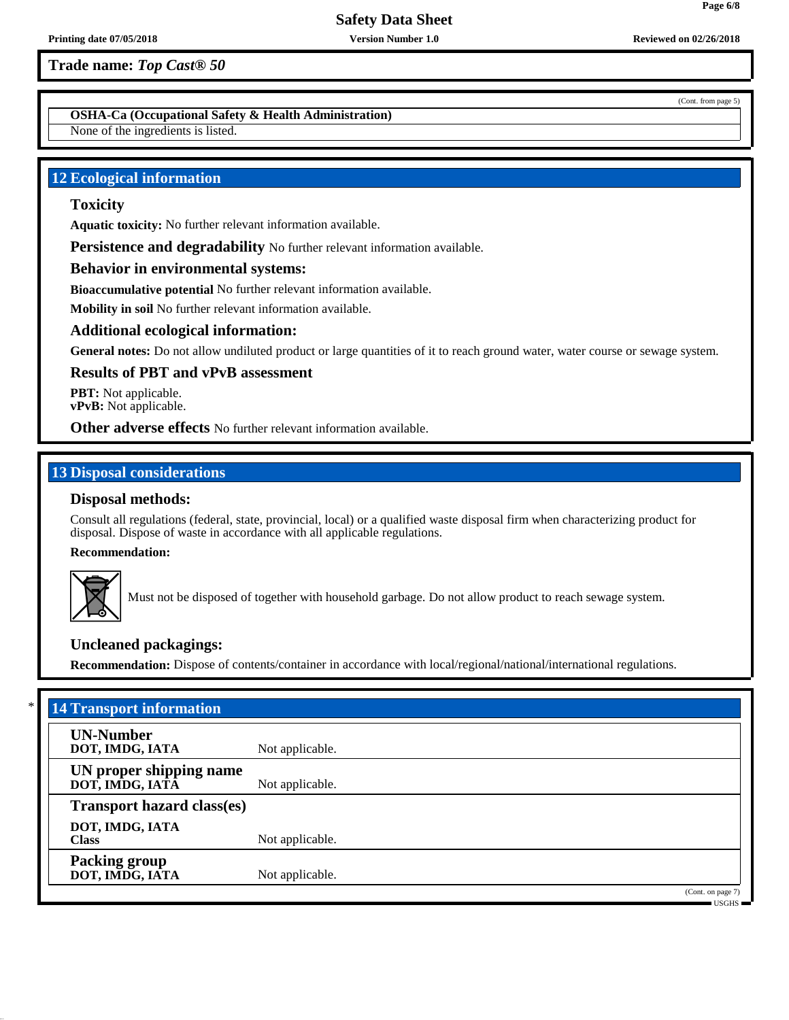**OSHA-Ca (Occupational Safety & Health Administration)**

None of the ingredients is listed.

# **12 Ecological information**

# **Toxicity**

**Aquatic toxicity:** No further relevant information available.

**Persistence and degradability** No further relevant information available.

### **Behavior in environmental systems:**

**Bioaccumulative potential** No further relevant information available.

**Mobility in soil** No further relevant information available.

#### **Additional ecological information:**

**General notes:** Do not allow undiluted product or large quantities of it to reach ground water, water course or sewage system.

## **Results of PBT and vPvB assessment**

**PBT:** Not applicable. **vPvB:** Not applicable.

**Other adverse effects** No further relevant information available.

# **13 Disposal considerations**

# **Disposal methods:**

Consult all regulations (federal, state, provincial, local) or a qualified waste disposal firm when characterizing product for disposal. Dispose of waste in accordance with all applicable regulations.

**Recommendation:**



Must not be disposed of together with household garbage. Do not allow product to reach sewage system.

# **Uncleaned packagings:**

**Recommendation:** Dispose of contents/container in accordance with local/regional/national/international regulations.

| *<br><b>14 Transport information</b>       |                 |                                                          |
|--------------------------------------------|-----------------|----------------------------------------------------------|
| <b>UN-Number</b><br>DOT, IMDG, IATA        | Not applicable. |                                                          |
| UN proper shipping name<br>DOT, IMDG, IATA | Not applicable. |                                                          |
| <b>Transport hazard class(es)</b>          |                 |                                                          |
| DOT, IMDG, IATA<br><b>Class</b>            | Not applicable. |                                                          |
| <b>Packing group</b><br>DOT, IMDG, IATA    | Not applicable. |                                                          |
|                                            |                 | (Cont. on page 7)<br>$\blacksquare$ USGHS $\blacksquare$ |

(Cont. from page 5)

**Page 6/8**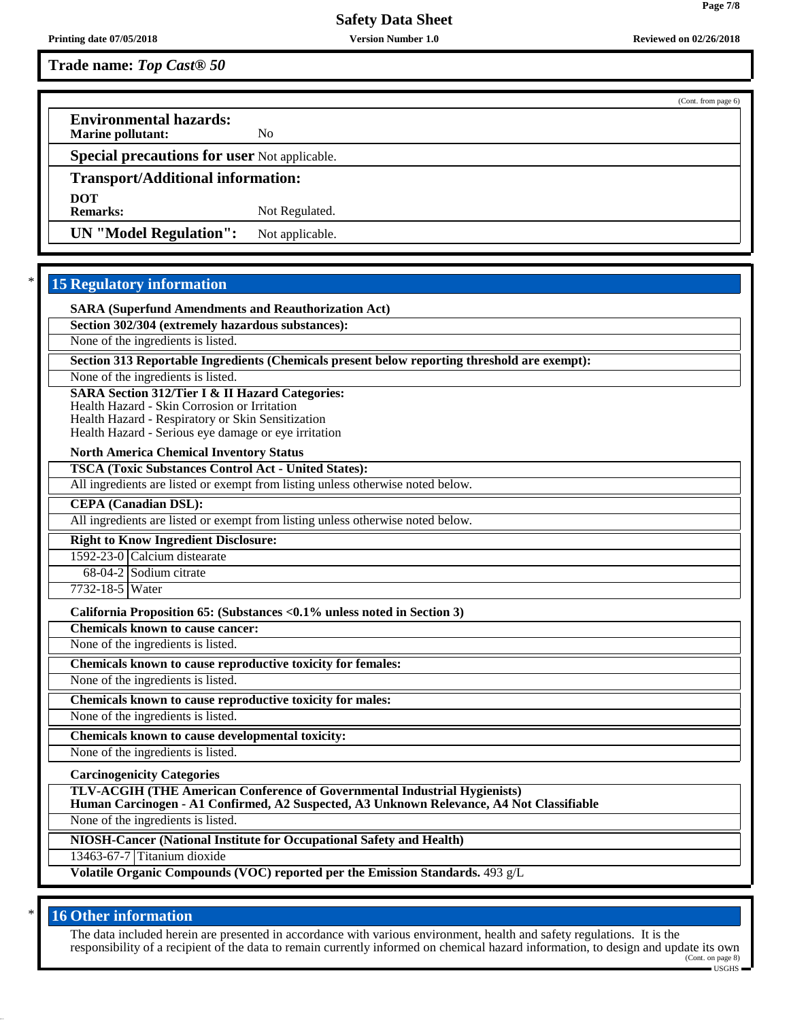|                                                           |                 |  | (Cont. from page 6) |  |
|-----------------------------------------------------------|-----------------|--|---------------------|--|
| <b>Environmental hazards:</b><br><b>Marine pollutant:</b> | No              |  |                     |  |
| <b>Special precautions for user Not applicable.</b>       |                 |  |                     |  |
| <b>Transport/Additional information:</b>                  |                 |  |                     |  |
| <b>DOT</b>                                                |                 |  |                     |  |
| <b>Remarks:</b>                                           | Not Regulated.  |  |                     |  |
| <b>UN</b> "Model Regulation":                             | Not applicable. |  |                     |  |

# **15 Regulatory information**

**SARA (Superfund Amendments and Reauthorization Act)**

**Section 302/304 (extremely hazardous substances):**

None of the ingredients is listed.

**Section 313 Reportable Ingredients (Chemicals present below reporting threshold are exempt):**

None of the ingredients is listed.

**SARA Section 312/Tier I & II Hazard Categories:**

Health Hazard - Skin Corrosion or Irritation

Health Hazard - Respiratory or Skin Sensitization Health Hazard - Serious eye damage or eye irritation

**North America Chemical Inventory Status**

**TSCA (Toxic Substances Control Act - United States):**

All ingredients are listed or exempt from listing unless otherwise noted below.

**CEPA (Canadian DSL):**

All ingredients are listed or exempt from listing unless otherwise noted below.

**Right to Know Ingredient Disclosure:**

1592-23-0 Calcium distearate

68-04-2 Sodium citrate

7732-18-5 Water

**California Proposition 65: (Substances <0.1% unless noted in Section 3)**

**Chemicals known to cause cancer:**

None of the ingredients is listed.

**Chemicals known to cause reproductive toxicity for females:**

None of the ingredients is listed.

**Chemicals known to cause reproductive toxicity for males:**

None of the ingredients is listed.

**Chemicals known to cause developmental toxicity:**

None of the ingredients is listed.

**Carcinogenicity Categories**

**TLV-ACGIH (THE American Conference of Governmental Industrial Hygienists)**

**Human Carcinogen - A1 Confirmed, A2 Suspected, A3 Unknown Relevance, A4 Not Classifiable**

None of the ingredients is listed.

**NIOSH-Cancer (National Institute for Occupational Safety and Health)**

13463-67-7 Titanium dioxide

**Volatile Organic Compounds (VOC) reported per the Emission Standards.** 493 g/L

# **16 Other information**

The data included herein are presented in accordance with various environment, health and safety regulations. It is the responsibility of a recipient of the data to remain currently informed on chemical hazard information, to design and update its own (Cont. on page 8)